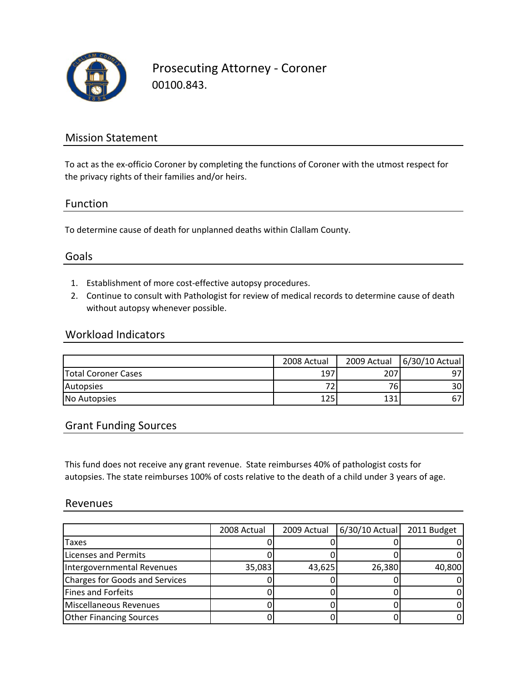

Prosecuting Attorney ‐ Coroner 00100.843.

## Mission Statement

To act as the ex-officio Coroner by completing the functions of Coroner with the utmost respect for the privacy rights of their families and/or heirs.

### Function

To determine cause of death for unplanned deaths within Clallam County.

## Goals

- 1. Establishment of more cost‐effective autopsy procedures.
- 2. Continue to consult with Pathologist for review of medical records to determine cause of death without autopsy whenever possible.

### Workload Indicators

|                            | 2008 Actual | 2009 Actual | 6/30/10 Actual |
|----------------------------|-------------|-------------|----------------|
| <b>Total Coroner Cases</b> | 197         | 207         | 97             |
| Autopsies                  |             | 76.         | 30I            |
| No Autopsies               | 125         | 131         |                |

## Grant Funding Sources

This fund does not receive any grant revenue. State reimburses 40% of pathologist costs for autopsies. The state reimburses 100% of costs relative to the death of a child under 3 years of age.

#### Revenues

|                                | 2008 Actual | 2009 Actual | $6/30/10$ Actual | 2011 Budget |
|--------------------------------|-------------|-------------|------------------|-------------|
| <b>Taxes</b>                   |             |             |                  |             |
| Licenses and Permits           |             |             |                  |             |
| Intergovernmental Revenues     | 35,083      | 43,625      | 26,380           | 40,800      |
| Charges for Goods and Services |             |             |                  |             |
| Fines and Forfeits             |             |             |                  |             |
| Miscellaneous Revenues         |             |             |                  |             |
| <b>Other Financing Sources</b> |             |             |                  |             |